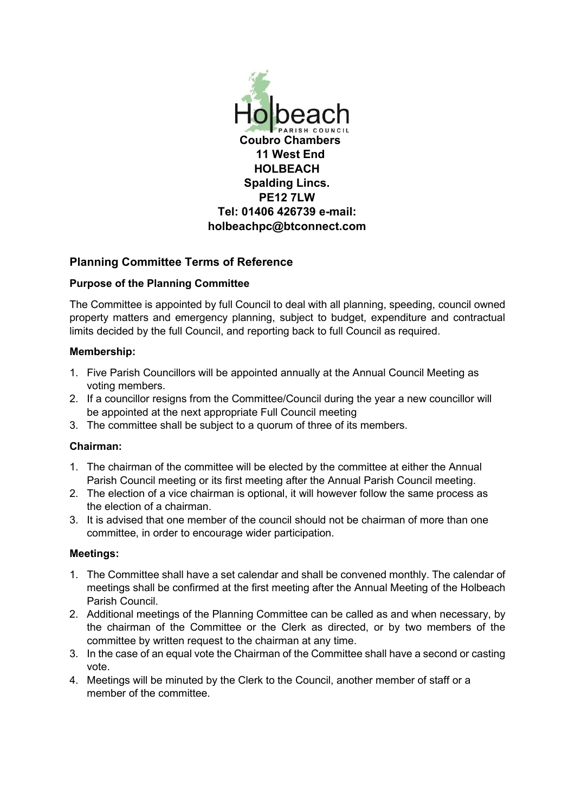

# **Planning Committee Terms of Reference**

## **Purpose of the Planning Committee**

The Committee is appointed by full Council to deal with all planning, speeding, council owned property matters and emergency planning, subject to budget, expenditure and contractual limits decided by the full Council, and reporting back to full Council as required.

### **Membership:**

- 1. Five Parish Councillors will be appointed annually at the Annual Council Meeting as voting members.
- 2. If a councillor resigns from the Committee/Council during the year a new councillor will be appointed at the next appropriate Full Council meeting
- 3. The committee shall be subject to a quorum of three of its members.

# **Chairman:**

- 1. The chairman of the committee will be elected by the committee at either the Annual Parish Council meeting or its first meeting after the Annual Parish Council meeting.
- 2. The election of a vice chairman is optional, it will however follow the same process as the election of a chairman.
- 3. It is advised that one member of the council should not be chairman of more than one committee, in order to encourage wider participation.

### **Meetings:**

- 1. The Committee shall have a set calendar and shall be convened monthly. The calendar of meetings shall be confirmed at the first meeting after the Annual Meeting of the Holbeach Parish Council.
- 2. Additional meetings of the Planning Committee can be called as and when necessary, by the chairman of the Committee or the Clerk as directed, or by two members of the committee by written request to the chairman at any time.
- 3. In the case of an equal vote the Chairman of the Committee shall have a second or casting vote.
- 4. Meetings will be minuted by the Clerk to the Council, another member of staff or a member of the committee.